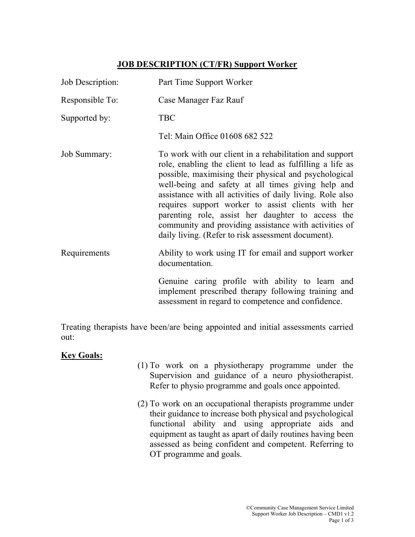## JOB DESCRIPTION (CT/FR) Support Worker

| Job Description:    | Part Time Support Worker                                                                                                                                                                                                                                                                                                                                                                                                                                                                                                   |
|---------------------|----------------------------------------------------------------------------------------------------------------------------------------------------------------------------------------------------------------------------------------------------------------------------------------------------------------------------------------------------------------------------------------------------------------------------------------------------------------------------------------------------------------------------|
| Responsible To:     | Case Manager Faz Rauf                                                                                                                                                                                                                                                                                                                                                                                                                                                                                                      |
| Supported by:       | <b>TBC</b>                                                                                                                                                                                                                                                                                                                                                                                                                                                                                                                 |
|                     | Tel: Main Office 01608 682 522                                                                                                                                                                                                                                                                                                                                                                                                                                                                                             |
| <b>Job Summary:</b> | To work with our client in a rehabilitation and support<br>role, enabling the client to lead as fulfilling a life as<br>possible, maximising their physical and psychological<br>well-being and safety at all times giving help and<br>assistance with all activities of daily living. Role also<br>requires support worker to assist clients with her<br>parenting role, assist her daughter to access the<br>community and providing assistance with activities of<br>daily living. (Refer to risk assessment document). |
| Requirements        | Ability to work using IT for email and support worker<br>documentation.                                                                                                                                                                                                                                                                                                                                                                                                                                                    |
|                     | Genuine caring profile with ability to learn and<br>implement prescribed therapy following training and<br>assessment in regard to competence and confidence.                                                                                                                                                                                                                                                                                                                                                              |

Treating therapists have been/are being appointed and initial assessments carried out:

## **Key Goals:**

- (1) To work on a physiotherapy programme under the Supervision and guidance of a neuro physiotherapist. Refer to physio programme and goals once appointed.
- (2) To work on an occupational therapists programme under their guidance to increase both physical and psychological functional ability and using appropriate aids and equipment as taught as apart of daily routines having been assessed as being confident and competent. Referring to OT programme and goals.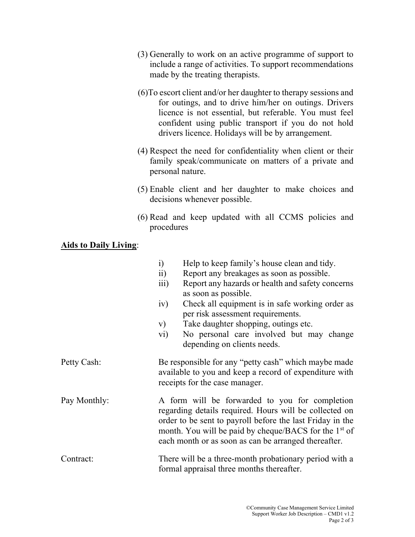- (3) Generally to work on an active programme of support to include a range of activities. To support recommendations made by the treating therapists.
- (6)To escort client and/or her daughter to therapy sessions and for outings, and to drive him/her on outings. Drivers licence is not essential, but referable. You must feel confident using public transport if you do not hold drivers licence. Holidays will be by arrangement.
- (4) Respect the need for confidentiality when client or their family speak/communicate on matters of a private and personal nature.
- (5) Enable client and her daughter to make choices and decisions whenever possible.
- (6) Read and keep updated with all CCMS policies and procedures

## Aids to Daily Living: Ξ

|              | Help to keep family's house clean and tidy.<br>$\ddot{1}$                                                                                                                                                                                                                                          |
|--------------|----------------------------------------------------------------------------------------------------------------------------------------------------------------------------------------------------------------------------------------------------------------------------------------------------|
|              | $\ddot{i}$<br>Report any breakages as soon as possible.                                                                                                                                                                                                                                            |
|              | Report any hazards or health and safety concerns<br>$\overline{111}$<br>as soon as possible.                                                                                                                                                                                                       |
|              | Check all equipment is in safe working order as<br>iv)<br>per risk assessment requirements.                                                                                                                                                                                                        |
|              | Take daughter shopping, outings etc.<br>V)                                                                                                                                                                                                                                                         |
|              | No personal care involved but may change<br>$\rm\,vi)$<br>depending on clients needs.                                                                                                                                                                                                              |
| Petty Cash:  | Be responsible for any "petty cash" which maybe made<br>available to you and keep a record of expenditure with<br>receipts for the case manager.                                                                                                                                                   |
| Pay Monthly: | A form will be forwarded to you for completion<br>regarding details required. Hours will be collected on<br>order to be sent to payroll before the last Friday in the<br>month. You will be paid by cheque/BACS for the 1 <sup>st</sup> of<br>each month or as soon as can be arranged thereafter. |
| Contract:    | There will be a three-month probationary period with a<br>formal appraisal three months thereafter.                                                                                                                                                                                                |